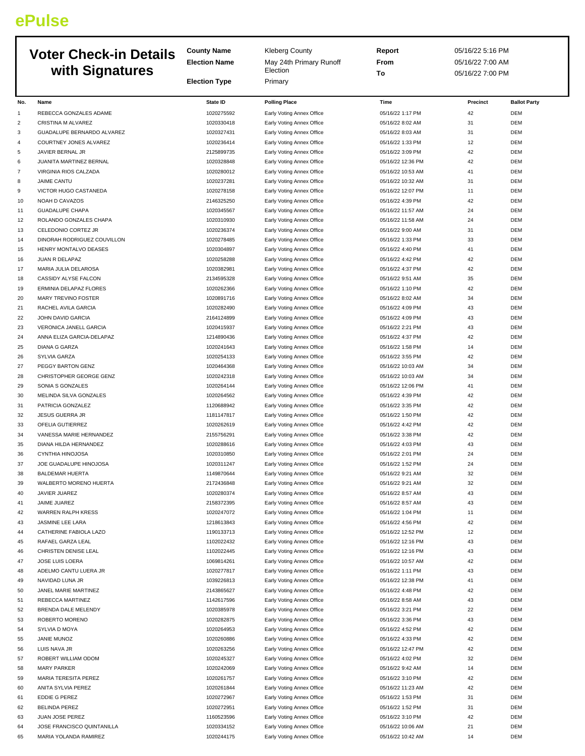## **ePulse**

|                     |                                                  | <b>County Name</b><br><b>Kleberg County</b> |                                                        | Report                                | 05/16/22 5:16 PM |                          |
|---------------------|--------------------------------------------------|---------------------------------------------|--------------------------------------------------------|---------------------------------------|------------------|--------------------------|
|                     | <b>Voter Check-in Details</b>                    | <b>Election Name</b>                        | May 24th Primary Runoff                                | From                                  | 05/16/22 7:00 AM |                          |
|                     | with Signatures                                  |                                             | Election                                               | To                                    | 05/16/22 7:00 PM |                          |
|                     |                                                  | <b>Election Type</b>                        | Primary                                                |                                       |                  |                          |
|                     |                                                  |                                             |                                                        |                                       |                  |                          |
| No.                 | Name                                             | <b>State ID</b>                             | <b>Polling Place</b>                                   | Time                                  | Precinct         | <b>Ballot Party</b>      |
| $\mathbf{1}$        | REBECCA GONZALES ADAME                           | 1020275592                                  | Early Voting Annex Office                              | 05/16/22 1:17 PM                      | 42               | <b>DEM</b>               |
| $\overline{c}$      | CRISTINA M ALVAREZ<br>GUADALUPE BERNARDO ALVAREZ | 1020330418                                  | Early Voting Annex Office                              | 05/16/22 8:02 AM                      | 31               | <b>DEM</b>               |
| 3<br>$\overline{4}$ | COURTNEY JONES ALVAREZ                           | 1020327431<br>1020236414                    | Early Voting Annex Office                              | 05/16/22 8:03 AM<br>05/16/22 1:33 PM  | 31<br>12         | <b>DEM</b><br><b>DEM</b> |
| 5                   | JAVIER BERNAL JR                                 | 2125899735                                  | Early Voting Annex Office<br>Early Voting Annex Office | 05/16/22 3:09 PM                      | 42               | <b>DEM</b>               |
| 6                   | JUANITA MARTINEZ BERNAL                          | 1020328848                                  | Early Voting Annex Office                              | 05/16/22 12:36 PM                     | 42               | <b>DEM</b>               |
| $\overline{7}$      | VIRGINIA RIOS CALZADA                            | 1020280012                                  | Early Voting Annex Office                              | 05/16/22 10:53 AM                     | 41               | <b>DEM</b>               |
| 8                   | <b>JAIME CANTU</b>                               | 1020237281                                  | Early Voting Annex Office                              | 05/16/22 10:32 AM                     | 31               | <b>DEM</b>               |
| 9                   | VICTOR HUGO CASTANEDA                            | 1020278158                                  | Early Voting Annex Office                              | 05/16/22 12:07 PM                     | 11               | <b>DEM</b>               |
| 10                  | NOAH D CAVAZOS                                   | 2146325250                                  | Early Voting Annex Office                              | 05/16/22 4:39 PM                      | 42               | <b>DEM</b>               |
| 11                  | <b>GUADALUPE CHAPA</b>                           | 1020345567                                  | Early Voting Annex Office                              | 05/16/22 11:57 AM                     | 24               | <b>DEM</b>               |
| 12                  | ROLANDO GONZALES CHAPA                           | 1020310930                                  | Early Voting Annex Office                              | 05/16/22 11:58 AM                     | 24               | <b>DEM</b>               |
| 13                  | CELEDONIO CORTEZ JR                              | 1020236374                                  | Early Voting Annex Office                              | 05/16/22 9:00 AM                      | 31               | <b>DEM</b>               |
| 14                  | DINORAH RODRIGUEZ COUVILLON                      | 1020278485                                  | Early Voting Annex Office                              | 05/16/22 1:33 PM                      | 33               | <b>DEM</b>               |
| 15                  | HENRY MONTALVO DEASES                            | 1020304897                                  | Early Voting Annex Office                              | 05/16/22 4:40 PM                      | 41               | <b>DEM</b>               |
| 16                  | JUAN R DELAPAZ                                   | 1020258288                                  | Early Voting Annex Office                              | 05/16/22 4:42 PM                      | 42               | <b>DEM</b>               |
| 17                  | MARIA JULIA DELAROSA                             | 1020382981                                  | Early Voting Annex Office                              | 05/16/22 4:37 PM                      | 42               | <b>DEM</b>               |
| 18                  | CASSIDY ALYSE FALCON                             | 2134595328                                  | Early Voting Annex Office                              | 05/16/22 9:51 AM                      | 35               | <b>DEM</b>               |
| 19                  | ERMINIA DELAPAZ FLORES                           | 1020262366                                  | Early Voting Annex Office                              | 05/16/22 1:10 PM                      | 42               | <b>DEM</b>               |
| 20                  | MARY TREVINO FOSTER                              | 1020891716                                  | Early Voting Annex Office                              | 05/16/22 8:02 AM                      | 34               | <b>DEM</b>               |
| 21                  | RACHEL AVILA GARCIA                              | 1020282490                                  | Early Voting Annex Office                              | 05/16/22 4:09 PM                      | 43               | <b>DEM</b>               |
| 22                  | JOHN DAVID GARCIA                                | 2164124899                                  | Early Voting Annex Office                              | 05/16/22 4:09 PM                      | 43               | <b>DEM</b>               |
| 23                  | VERONICA JANELL GARCIA                           | 1020415937                                  | Early Voting Annex Office                              | 05/16/22 2:21 PM                      | 43               | <b>DEM</b>               |
| 24                  | ANNA ELIZA GARCIA-DELAPAZ                        | 1214890436                                  | Early Voting Annex Office                              | 05/16/22 4:37 PM                      | 42               | <b>DEM</b>               |
| 25                  | <b>DIANA G GARZA</b>                             | 1020241643                                  | Early Voting Annex Office                              | 05/16/22 1:58 PM                      | 14               | <b>DEM</b>               |
| 26                  | SYLVIA GARZA                                     | 1020254133                                  | Early Voting Annex Office                              | 05/16/22 3:55 PM                      | 42               | <b>DEM</b>               |
| 27                  | PEGGY BARTON GENZ                                | 1020464368                                  | Early Voting Annex Office                              | 05/16/22 10:03 AM                     | 34               | <b>DEM</b>               |
| 28                  | CHRISTOPHER GEORGE GENZ                          | 1020242318                                  | Early Voting Annex Office                              | 05/16/22 10:03 AM                     | 34               | <b>DEM</b>               |
| 29                  | SONIA S GONZALES                                 | 1020264144                                  | Early Voting Annex Office                              | 05/16/22 12:06 PM                     | 41               | <b>DEM</b>               |
| 30                  | MELINDA SILVA GONZALES                           | 1020264562                                  | Early Voting Annex Office                              | 05/16/22 4:39 PM                      | 42               | DEM                      |
| 31                  | PATRICIA GONZALEZ                                | 1120688942                                  | Early Voting Annex Office                              | 05/16/22 3:35 PM                      | 42               | <b>DEM</b>               |
| 32                  | JESUS GUERRA JR                                  | 1181147817<br>1020262619                    | Early Voting Annex Office                              | 05/16/22 1:50 PM                      | 42<br>42         | <b>DEM</b><br><b>DEM</b> |
| 33<br>34            | OFELIA GUTIERREZ<br>VANESSA MARIE HERNANDEZ      | 2155756291                                  | Early Voting Annex Office<br>Early Voting Annex Office | 05/16/22 4:42 PM<br>05/16/22 3:38 PM  | 42               | <b>DEM</b>               |
| 35                  | DIANA HILDA HERNANDEZ                            | 1020288616                                  | Early Voting Annex Office                              | 05/16/22 4:03 PM                      | 43               | <b>DEM</b>               |
| 36                  | CYNTHIA HINOJOSA                                 | 1020310850                                  | Early Voting Annex Office                              | 05/16/22 2:01 PM                      | 24               | <b>DEM</b>               |
| 37                  | JOE GUADALUPE HINOJOSA                           | 1020311247                                  | Early Voting Annex Office                              | 05/16/22 1:52 PM                      | 24               | DEM                      |
| 38                  | <b>BALDEMAR HUERTA</b>                           | 1149870644                                  | Early Voting Annex Office                              | 05/16/22 9:21 AM                      | 32               | <b>DEM</b>               |
| 39                  | WALBERTO MORENO HUERTA                           | 2172436848                                  | Early Voting Annex Office                              | 05/16/22 9:21 AM                      | 32               | <b>DEM</b>               |
| 40                  | JAVIER JUAREZ                                    | 1020280374                                  | Early Voting Annex Office                              | 05/16/22 8:57 AM                      | 43               | <b>DEM</b>               |
| 41                  | JAIME JUAREZ                                     | 2158372395                                  | Early Voting Annex Office                              | 05/16/22 8:57 AM                      | 43               | <b>DEM</b>               |
| 42                  | WARREN RALPH KRESS                               | 1020247072                                  | Early Voting Annex Office                              | 05/16/22 1:04 PM                      | 11               | <b>DEM</b>               |
| 43                  | JASMINE LEE LARA                                 | 1218613843                                  | Early Voting Annex Office                              | 05/16/22 4:56 PM                      | 42               | <b>DEM</b>               |
| 44                  | CATHERINE FABIOLA LAZO                           | 1190133713                                  | Early Voting Annex Office                              | 05/16/22 12:52 PM                     | 12               | <b>DEM</b>               |
| 45                  | RAFAEL GARZA LEAL                                | 1102022432                                  | Early Voting Annex Office                              | 05/16/22 12:16 PM                     | 43               | <b>DEM</b>               |
| 46                  | CHRISTEN DENISE LEAL                             | 1102022445                                  | Early Voting Annex Office                              | 05/16/22 12:16 PM                     | 43               | <b>DEM</b>               |
| 47                  | JOSE LUIS LOERA                                  | 1069814261                                  | Early Voting Annex Office                              | 05/16/22 10:57 AM                     | 42               | <b>DEM</b>               |
| 48                  | ADELMO CANTU LUERA JR                            | 1020277817                                  | Early Voting Annex Office                              | 05/16/22 1:11 PM                      | 43               | <b>DEM</b>               |
| 49                  | NAVIDAD LUNA JR                                  | 1039226813                                  | Early Voting Annex Office                              | 05/16/22 12:38 PM                     | 41               | <b>DEM</b>               |
| 50                  | JANEL MARIE MARTINEZ                             | 2143865627                                  | Early Voting Annex Office                              | 05/16/22 4:48 PM                      | 42               | <b>DEM</b>               |
| 51                  | REBECCA MARTINEZ                                 | 1142617596                                  | Early Voting Annex Office                              | 05/16/22 8:58 AM                      | 43               | <b>DEM</b>               |
| 52                  | BRENDA DALE MELENDY                              | 1020385978                                  | Early Voting Annex Office                              | 05/16/22 3:21 PM                      | 22               | <b>DEM</b>               |
| 53                  | ROBERTO MORENO                                   | 1020282875                                  | Early Voting Annex Office                              | 05/16/22 3:36 PM                      | 43               | <b>DEM</b>               |
| 54                  | SYLVIA D MOYA                                    | 1020264953                                  | Early Voting Annex Office                              | 05/16/22 4:52 PM                      | 42               | <b>DEM</b>               |
| 55                  | JANIE MUNOZ                                      | 1020260886                                  | Early Voting Annex Office                              | 05/16/22 4:33 PM                      | 42               | <b>DEM</b>               |
| 56                  | LUIS NAVA JR                                     | 1020263256                                  | Early Voting Annex Office                              | 05/16/22 12:47 PM                     | 42               | <b>DEM</b>               |
| 57                  | ROBERT WILLIAM ODOM                              | 1020245327                                  | Early Voting Annex Office                              | 05/16/22 4:02 PM                      | 32               | <b>DEM</b>               |
| 58                  | <b>MARY PARKER</b>                               | 1020242069                                  | Early Voting Annex Office                              | 05/16/22 9:42 AM                      | 14               | <b>DEM</b>               |
| 59<br>60            | MARIA TERESITA PEREZ<br>ANITA SYLVIA PEREZ       | 1020261757<br>1020261844                    | Early Voting Annex Office                              | 05/16/22 3:10 PM<br>05/16/22 11:23 AM | 42<br>42         | <b>DEM</b><br>DEM        |
| 61                  | EDDIE G PEREZ                                    | 1020272967                                  | Early Voting Annex Office<br>Early Voting Annex Office | 05/16/22 1:53 PM                      | 31               | <b>DEM</b>               |
| 62                  | <b>BELINDA PEREZ</b>                             | 1020272951                                  | Early Voting Annex Office                              | 05/16/22 1:52 PM                      | 31               | <b>DEM</b>               |
| 63                  | JUAN JOSE PEREZ                                  | 1160523596                                  | Early Voting Annex Office                              | 05/16/22 3:10 PM                      | 42               | <b>DEM</b>               |
| 64                  | JOSE FRANCISCO QUINTANILLA                       | 1020334152                                  | Early Voting Annex Office                              | 05/16/22 10:06 AM                     | 21               | <b>DEM</b>               |
| 65                  | MARIA YOLANDA RAMIREZ                            | 1020244175                                  | Early Voting Annex Office                              | 05/16/22 10:42 AM                     | 14               | DEM                      |
|                     |                                                  |                                             |                                                        |                                       |                  |                          |